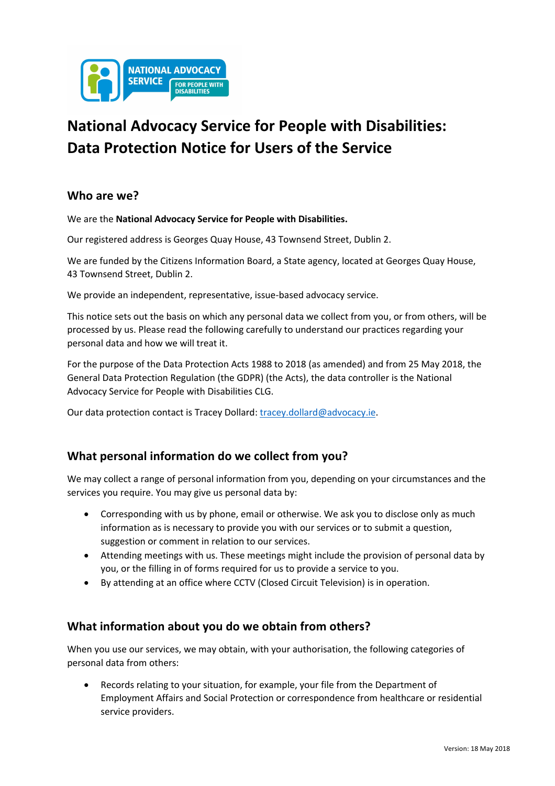

# **National Advocacy Service for People with Disabilities: Data Protection Notice for Users of the Service**

# **Who are we?**

We are the **National Advocacy Service for People with Disabilities.**

Our registered address is Georges Quay House, 43 Townsend Street, Dublin 2.

We are funded by the Citizens Information Board, a State agency, located at Georges Quay House, 43 Townsend Street, Dublin 2.

We provide an independent, representative, issue-based advocacy service.

This notice sets out the basis on which any personal data we collect from you, or from others, will be processed by us. Please read the following carefully to understand our practices regarding your personal data and how we will treat it.

For the purpose of the Data Protection Acts 1988 to 2018 (as amended) and from 25 May 2018, the General Data Protection Regulation (the GDPR) (the Acts), the data controller is the National Advocacy Service for People with Disabilities CLG.

Our data protection contact is Tracey Dollard: tracey.dollard@advocacy.ie.

### **What personal information do we collect from you?**

We may collect a range of personal information from you, depending on your circumstances and the services you require. You may give us personal data by:

- Corresponding with us by phone, email or otherwise. We ask you to disclose only as much information as is necessary to provide you with our services or to submit a question, suggestion or comment in relation to our services.
- Attending meetings with us. These meetings might include the provision of personal data by you, or the filling in of forms required for us to provide a service to you.
- By attending at an office where CCTV (Closed Circuit Television) is in operation.

### **What information about you do we obtain from others?**

When you use our services, we may obtain, with your authorisation, the following categories of personal data from others:

• Records relating to your situation, for example, your file from the Department of Employment Affairs and Social Protection or correspondence from healthcare or residential service providers.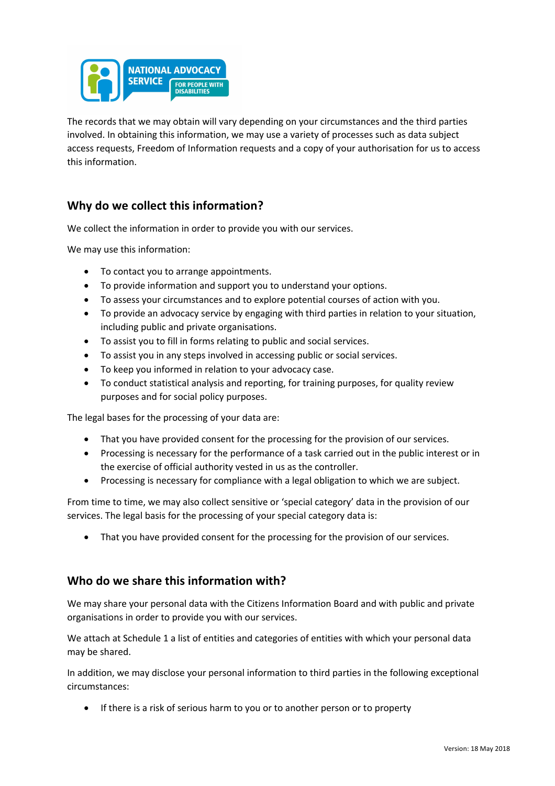

The records that we may obtain will vary depending on your circumstances and the third parties involved. In obtaining this information, we may use a variety of processes such as data subject access requests, Freedom of Information requests and a copy of your authorisation for us to access this information.

### **Why do we collect this information?**

We collect the information in order to provide you with our services.

We may use this information:

- To contact you to arrange appointments.
- To provide information and support you to understand your options.
- To assess your circumstances and to explore potential courses of action with you.
- To provide an advocacy service by engaging with third parties in relation to your situation, including public and private organisations.
- To assist you to fill in forms relating to public and social services.
- To assist you in any steps involved in accessing public or social services.
- To keep you informed in relation to your advocacy case.
- To conduct statistical analysis and reporting, for training purposes, for quality review purposes and for social policy purposes.

The legal bases for the processing of your data are:

- That you have provided consent for the processing for the provision of our services.
- Processing is necessary for the performance of a task carried out in the public interest or in the exercise of official authority vested in us as the controller.
- Processing is necessary for compliance with a legal obligation to which we are subject.

From time to time, we may also collect sensitive or 'special category' data in the provision of our services. The legal basis for the processing of your special category data is:

That you have provided consent for the processing for the provision of our services.

#### **Who do we share this information with?**

We may share your personal data with the Citizens Information Board and with public and private organisations in order to provide you with our services.

We attach at Schedule 1 a list of entities and categories of entities with which your personal data may be shared.

In addition, we may disclose your personal information to third parties in the following exceptional circumstances:

• If there is a risk of serious harm to you or to another person or to property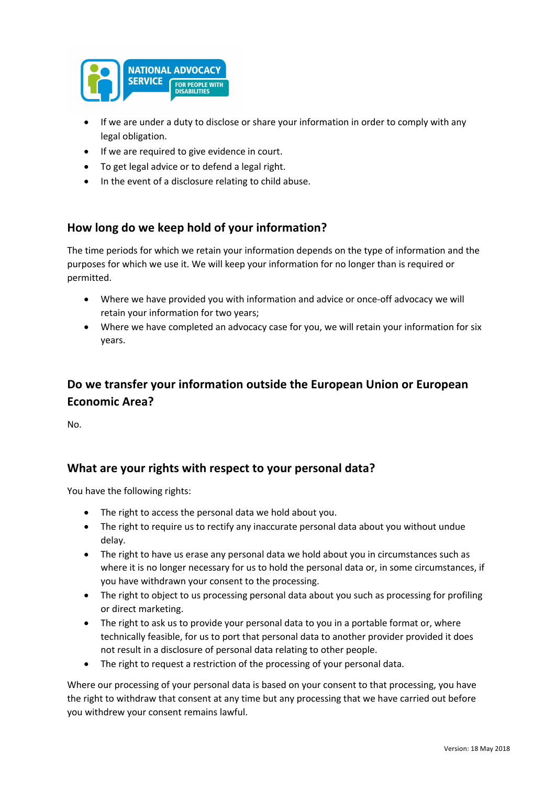

- If we are under a duty to disclose or share your information in order to comply with any legal obligation.
- If we are required to give evidence in court.
- To get legal advice or to defend a legal right.
- In the event of a disclosure relating to child abuse.

## **How long do we keep hold of your information?**

The time periods for which we retain your information depends on the type of information and the purposes for which we use it. We will keep your information for no longer than is required or permitted.

- Where we have provided you with information and advice or once-off advocacy we will retain your information for two years;
- Where we have completed an advocacy case for you, we will retain your information for six years.

# **Do we transfer your information outside the European Union or European Economic Area?**

No.

### **What are your rights with respect to your personal data?**

You have the following rights:

- The right to access the personal data we hold about you.
- The right to require us to rectify any inaccurate personal data about you without undue delay.
- The right to have us erase any personal data we hold about you in circumstances such as where it is no longer necessary for us to hold the personal data or, in some circumstances, if you have withdrawn your consent to the processing.
- The right to object to us processing personal data about you such as processing for profiling or direct marketing.
- The right to ask us to provide your personal data to you in a portable format or, where technically feasible, for us to port that personal data to another provider provided it does not result in a disclosure of personal data relating to other people.
- The right to request a restriction of the processing of your personal data.

Where our processing of your personal data is based on your consent to that processing, you have the right to withdraw that consent at any time but any processing that we have carried out before you withdrew your consent remains lawful.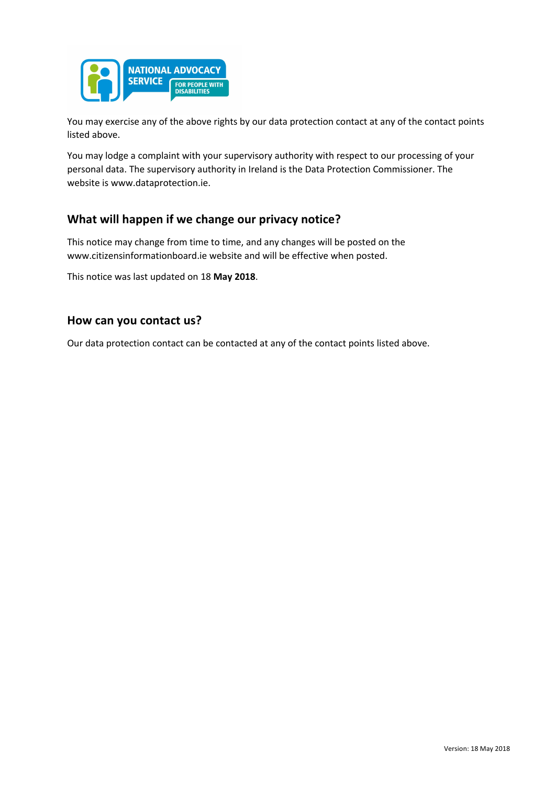

You may exercise any of the above rights by our data protection contact at any of the contact points listed above.

You may lodge a complaint with your supervisory authority with respect to our processing of your personal data. The supervisory authority in Ireland is the Data Protection Commissioner. The website is www.dataprotection.ie.

### **What will happen if we change our privacy notice?**

This notice may change from time to time, and any changes will be posted on the www.citizensinformationboard.ie website and will be effective when posted.

This notice was last updated on 18 **May 2018**.

#### **How can you contact us?**

Our data protection contact can be contacted at any of the contact points listed above.